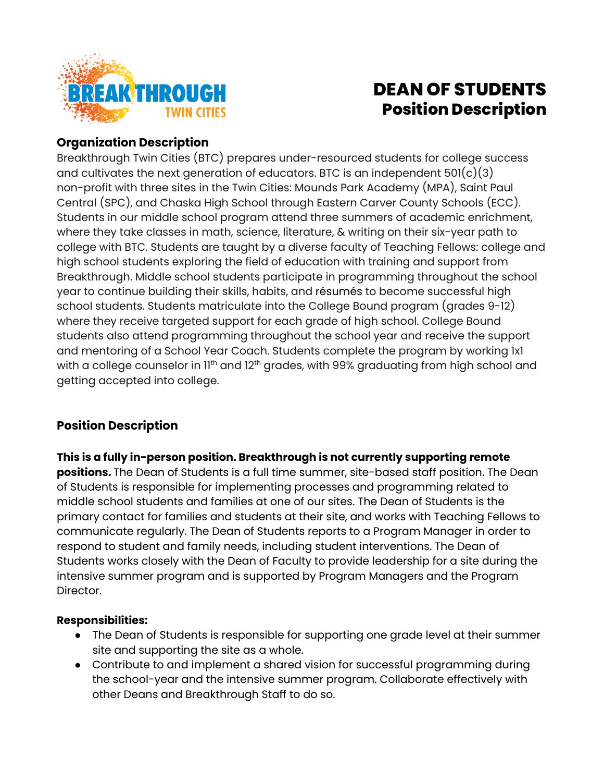

# **DEAN OF STUDENTS Position Description**

## **Organization Description**

Breakthrough Twin Cities (BTC) prepares under-resourced students for college success and cultivates the next generation of educators. BTC is an independent  $501(c)(3)$ non-profit with three sites in the Twin Cities: Mounds Park Academy (MPA), Saint Paul Central (SPC), and Chaska High School through Eastern Carver County Schools (ECC). Students in our middle school program attend three summers of academic enrichment, where they take classes in math, science, literature, & writing on their six-year path to college with BTC. Students are taught by a diverse faculty of Teaching Fellows: college and high school students exploring the field of education with training and support from Breakthrough. Middle school students participate in programming throughout the school year to continue building their skills, habits, and résumés to become successful high school students. Students matriculate into the College Bound program (grades 9-12) where they receive targeted support for each grade of high school. College Bound students also attend programming throughout the school year and receive the support and mentoring of a School Year Coach. Students complete the program by working 1x1 with a college counselor in 11<sup>th</sup> and 12<sup>th</sup> grades, with 99% graduating from high school and getting accepted into college.

# **Position Description**

**This is a fully in-person position. Breakthrough is not currently supporting remote positions.** The Dean of Students is a full time summer, site-based staff position. The Dean of Students is responsible for implementing processes and programming related to middle school students and families at one of our sites. The Dean of Students is the primary contact for families and students at their site, and works with Teaching Fellows to communicate regularly. The Dean of Students reports to a Program Manager in order to respond to student and family needs, including student interventions. The Dean of Students works closely with the Dean of Faculty to provide leadership for a site during the intensive summer program and is supported by Program Managers and the Program Director.

#### **Responsibilities:**

- The Dean of Students is responsible for supporting one grade level at their summer site and supporting the site as a whole.
- Contribute to and implement a shared vision for successful programming during the school-year and the intensive summer program. Collaborate effectively with other Deans and Breakthrough Staff to do so.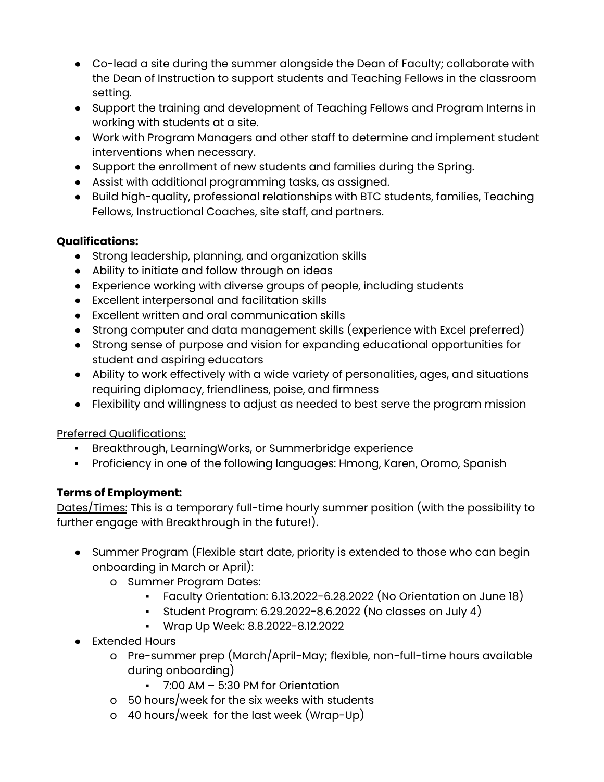- Co-lead a site during the summer alongside the Dean of Faculty; collaborate with the Dean of Instruction to support students and Teaching Fellows in the classroom setting.
- Support the training and development of Teaching Fellows and Program Interns in working with students at a site.
- Work with Program Managers and other staff to determine and implement student interventions when necessary.
- Support the enrollment of new students and families during the Spring.
- Assist with additional programming tasks, as assigned.
- Build high-quality, professional relationships with BTC students, families, Teaching Fellows, Instructional Coaches, site staff, and partners.

#### **Qualifications:**

- Strong leadership, planning, and organization skills
- Ability to initiate and follow through on ideas
- Experience working with diverse groups of people, including students
- Excellent interpersonal and facilitation skills
- Excellent written and oral communication skills
- Strong computer and data management skills (experience with Excel preferred)
- Strong sense of purpose and vision for expanding educational opportunities for student and aspiring educators
- Ability to work effectively with a wide variety of personalities, ages, and situations requiring diplomacy, friendliness, poise, and firmness
- Flexibility and willingness to adjust as needed to best serve the program mission

#### Preferred Qualifications:

- Breakthrough, LearningWorks, or Summerbridge experience
- Proficiency in one of the following languages: Hmong, Karen, Oromo, Spanish

## **Terms of Employment:**

Dates/Times: This is a temporary full-time hourly summer position (with the possibility to further engage with Breakthrough in the future!).

- Summer Program (Flexible start date, priority is extended to those who can begin onboarding in March or April):
	- o Summer Program Dates:
		- Faculty Orientation: 6.13.2022-6.28.2022 (No Orientation on June 18)
		- **•** Student Program:  $6.29.2022 8.6.2022$  (No classes on July 4)
		- Wrap Up Week: 8.8.2022-8.12.2022
- Extended Hours
	- o Pre-summer prep (March/April-May; flexible, non-full-time hours available during onboarding)
		- 7:00 AM 5:30 PM for Orientation
	- o 50 hours/week for the six weeks with students
	- o 40 hours/week for the last week (Wrap-Up)